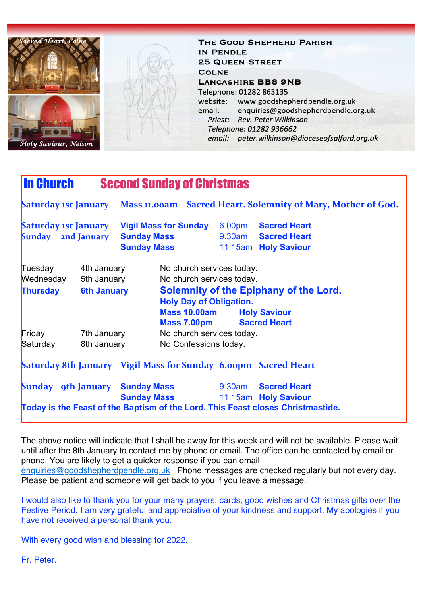

THE GOOD SHEPHERD PARISH IN PENDLE **25 QUEEN STREET COLNE LANCASHIRE BB8 9NB** Telephone: 01282 863135 website: www.goodshepherdpendle.org.uk email: enquiries@goodshepherdpendle.org.uk Priest: Rev. Peter Wilkinson Telephone: 01282 936662 email: peter.wilkinson@dioceseofsalford.org.uk

## In Church Second Sunday of Christmas **Saturday 1st January** Mass 11.00am Sacred Heart. Solemnity of Mary, Mother of God. **Saturday 1st January** Vigil Mass for Sunday 6.00pm Sacred Heart **Sunday 2nd January Sunday Mass** 9.30am **Sacred Heart Sunday Mass** 11.15am **Holy Saviour** Tuesday 4th January No church services today. Wednesday 5th January No church services today. **Thursday 6th January Solemnity of the Epiphany of the Lord. Holy Day of Obligation. Mass 10.00am Holy Saviour Mass 7.00pm Sacred Heart Friday** 7th January No church services today. Saturday 8th January No Confessions today. **Saturday 8th January** Vigil Mass for Sunday 6.00pm Sacred Heart **Sunday 9th January Sunday Mass** 9.30am **Sacred Heart Sunday Mass** 11.15am **Holy Saviour Today is the Feast of the Baptism of the Lord. This Feast closes Christmastide.**

The above notice will indicate that I shall be away for this week and will not be available. Please wait until after the 8th January to contact me by phone or email. The office can be contacted by email or phone. You are likely to get a quicker response if you can email [enquiries@goodshepherdpendle.org.uk](mailto:enquiries@goodshepherdpendle.org.uk) Phone messages are checked regularly but not every day. Please be patient and someone will get back to you if you leave a message.

I would also like to thank you for your many prayers, cards, good wishes and Christmas gifts over the Festive Period. I am very grateful and appreciative of your kindness and support. My apologies if you have not received a personal thank you.

With every good wish and blessing for 2022.

Fr. Peter.